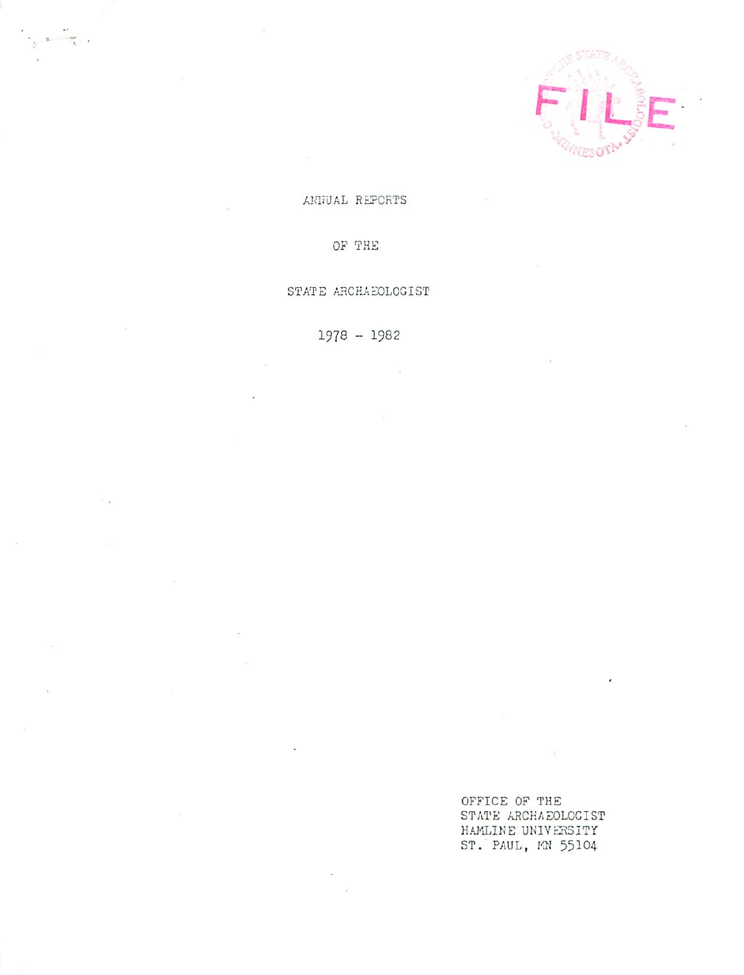

ANNUAL REPORTS

 $\frac{1}{\sqrt{2}}$  .

OF THE

# STATE ARCHAEOLOGIST

1978 - 1982

確

OFFICE OF THE STATE ARCHAEOLOGIST HAMLINE UNIVERSITY st. paul, ra 55104

 $\mathcal{C}$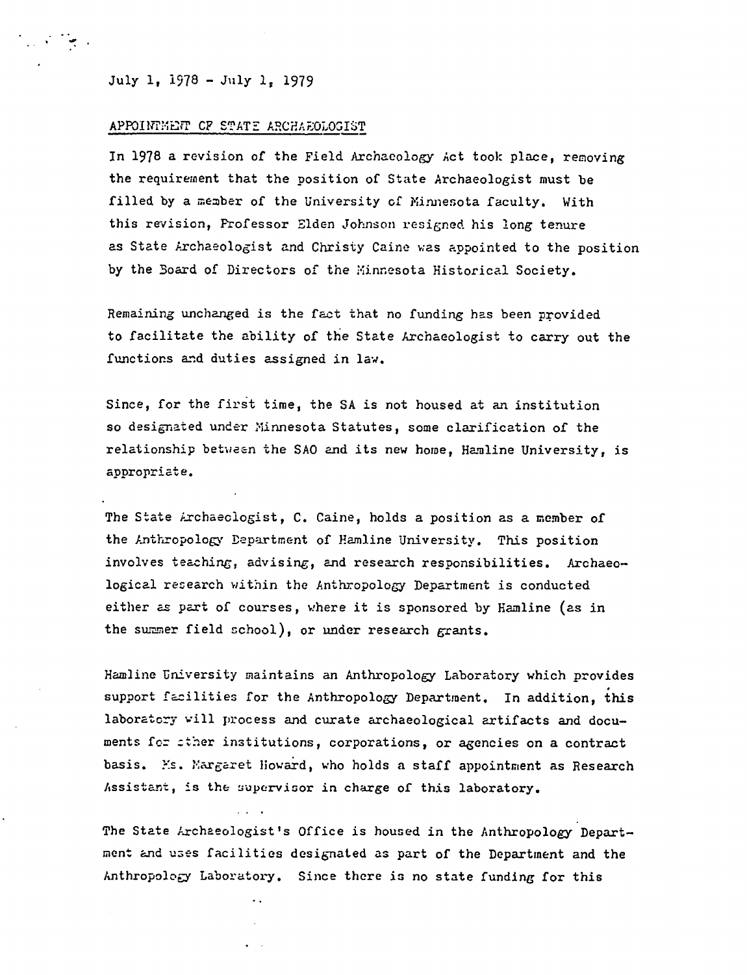July 1,  $1978 - July 1, 1979$ 

 $\mathcal{L} = \mathcal{L} \times \mathcal{L}$ 

#### APPOINTMBFT CF STATE ARCHAEOLOGIST

In 1978 a revision of the Field Archaeology Act took place, removing the requirement that the position of State Archaeologist must be filled by a member of the University of Minnesota faculty. With this revision, Professor Slden Johnson resigned, his long tenure as State Archaeologist and Christy Caine was appointed to the position by the Board of Directors of the Minnesota Historical Society.

Remaining unchanged is the fact that no funding has been provided to facilitate the ability of the State Archaeologist to carry out the functions and duties assigned in law.

Since, for the first time, the SA is not housed at an institution so designated under Minnesota Statutes, some clarification of the relationship between the SAO and its new home, Hamline University, is appropriate.

The State Archaeologist, C. Caine, holds a position as a member of the Anthropology Department of Hamline University. This position involves teaching, advising, and research responsibilities. Archaeo logical research within the Anthropology Department is conducted either as part of courses, where it is sponsored by Kamline (as in the summer field school), or under research grants.

Hamline University maintains an Anthropology Laboratory which provides support facilities for the Anthropology Department. In addition, this laboratory vill process and curate archaeological artifacts and documents for ether institutions, corporations, or agencies on a contract basis. Ks. Margaret Howard, who holds a staff appointment as Research Assistant, is the supervisor in charge of this laboratory.

The State Archaeologist's Office is housed in the Anthropology Department and uses facilities designated as part of the Department and the Anthropology Laboratory. Since there is no state funding for this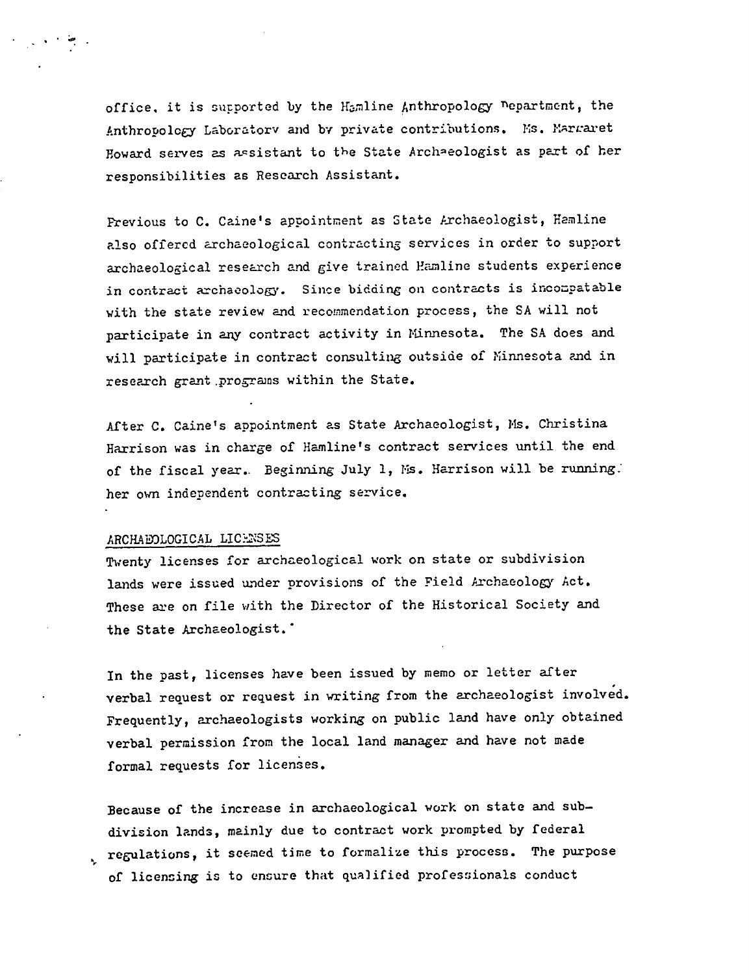office, it is supported by the Hamline Anthropology Department, the Anthropology Laboratory and bv private contributions. Ks. Ksrraret Boward serves as assistant to the State Archaeologist as part of her responsibilities as Research Assistant,

Frevious to C. Caine's appointment as State Archaeologist, Kamline also offered archaeological contracting services in order to support archaeological research and give trained. Hamline students experience in contract archaeology. Since bidding on contracts is incompatable with the state review and recommendation process, the SA will not participate in any contract activity in Minnesota. The SA does and will participate in contract consulting outside of Minnesota and in research grant .programs within the State.

After C. Caine's appointment as State Archaeologist, Ms. Christina Harrison was in charge of Hamline's contract services until the end of the fiscal year. Beginning July 1, Ms. Harrison will be running. her own independent contracting service,

#### ARCHAEOLOGICAL LICENSES

Twenty licenses for archaeological work on state or subdivision lands were issued under provisions of the Field Archaeology Act. These are on file with the Director of the Historical Society and the State Archaeologist.

In the past, licenses have been issued by memo or letter after verbal request or request in writing from the archaeologist involved. Frequently, archaeologists working on public land have only obtained verbal permission from the local land manager and have not made formal requests for licenses.

Because of the increase in archaeological work on state and sub division lands, mainly due to contract work prompted by federal regulations, it seemed time to formalize this process. The purpose of licencing is to ensure that qualified professionals conduct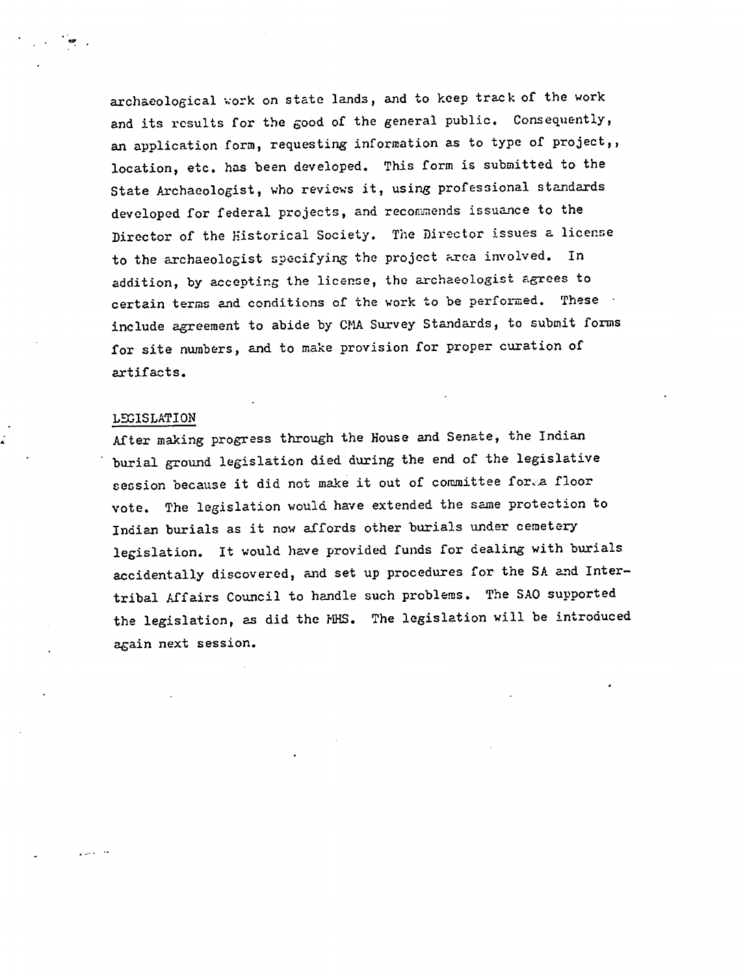archaeological vork on state lands, and to keep track of the work and its results for the good of the general public. Consequently, an application fora, requesting information as to type of project,, location, etc. has been developed. This form is submitted to the State Archaeologist, who reviews it, using professional standards developed for federal projects, and recommends issuance to the Director of the Historical Society. The Director issues a license to the archaeologist specifying the project area involved. In addition, by accepting the license, the archaeologist agrees to certain terms and conditions of the work to be performed. These include agreement to abide by CMA Survey Standards, to submit forms for site numbers, and to make provision for proper curation of artifacts.

# LSGISLATION

وماري والمروي

 $\cdot$   $\bullet$ 

After making progress through the House and Senate, the Indian burial ground legislation died during the end of the legislative session because it did not make it out of committee forea floor vote. The legislation would have extended the same protection to Indian burials as it now affords other burials under cemetery legislation. It would have provided funds for dealing with burials accidentally discovered, and set up procedures for the SA and Inter tribal Affairs Council to handle such problems. The SAO supported the legislation, as did the HHS. The legislation will be introduced again next session.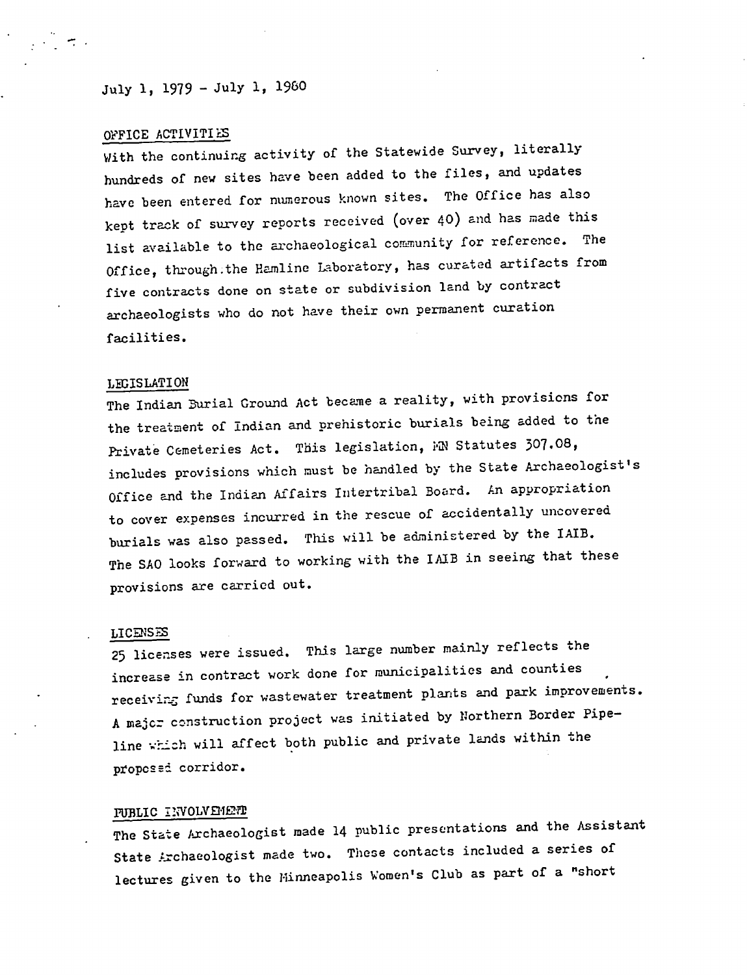# July 1, 1979 - July 1, 1960

# OFFICE ACTIVITIES

With the continuing activity of the Statewide Survey, literally hundreds of new sites have been added to the files, and updates have been entered for numerous known sites. The Office has also kept track of survey reports received (over 40) and has made this list available to the archaeological community for reference. The Office, through.the Hamline Laboratory, has curated artifacts from five contracts done on state or subdivision land by contract archaeologists who do not have their own permanent curation facilities.

#### LEGISLATION

The Indian Burial Ground Act became a reality, with provisions for the treatment of Indian and prehistoric burials being added to the Private Cemeteries Act. This legislation, MN Statutes 307.08, includes provisions which must be handled by the State Archaeologist's Office and the Indian Affairs Intertribal Board. An appropriation to cover expenses incurred in the rescue of accidentally uncovered burials was also passed. This will be administered by the IAIB. The SAO looks forward to working with the IAIB in seeing that these provisions are carried out.

#### LICENSES

25 licenses were issued. This large number mainly reflects the increase in contract work done for municipalities and counties receiving funds for wastewater treatment plants and park improvements. A major construction project was initiated by Northern Border Pipeline which will affect both public and private lands within the proposed corridor.

# PUBLIC INVOLVEMENT

The State Archaeologist made 14 public presentations and the Assistant State Archaeologist made two. These contacts included a series of lectures given to the Minneapolis Women's Club as part of a "short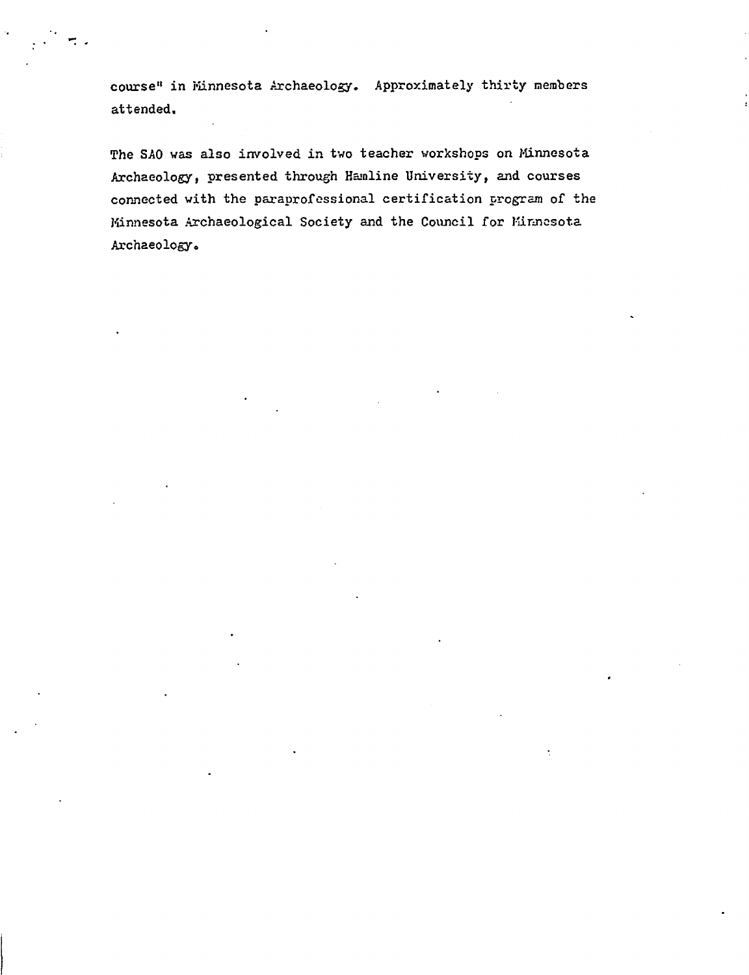course" in Minnesota Archaeology. Approximately thirty members attended.

The SAO was also involved in two teacher workshops on Minnesota Archaeology, presented through Hamline University, and courses connected with the paraprofessional certification program of the Minnesota Archaeological Society and the Council for Minnesota Archaeology..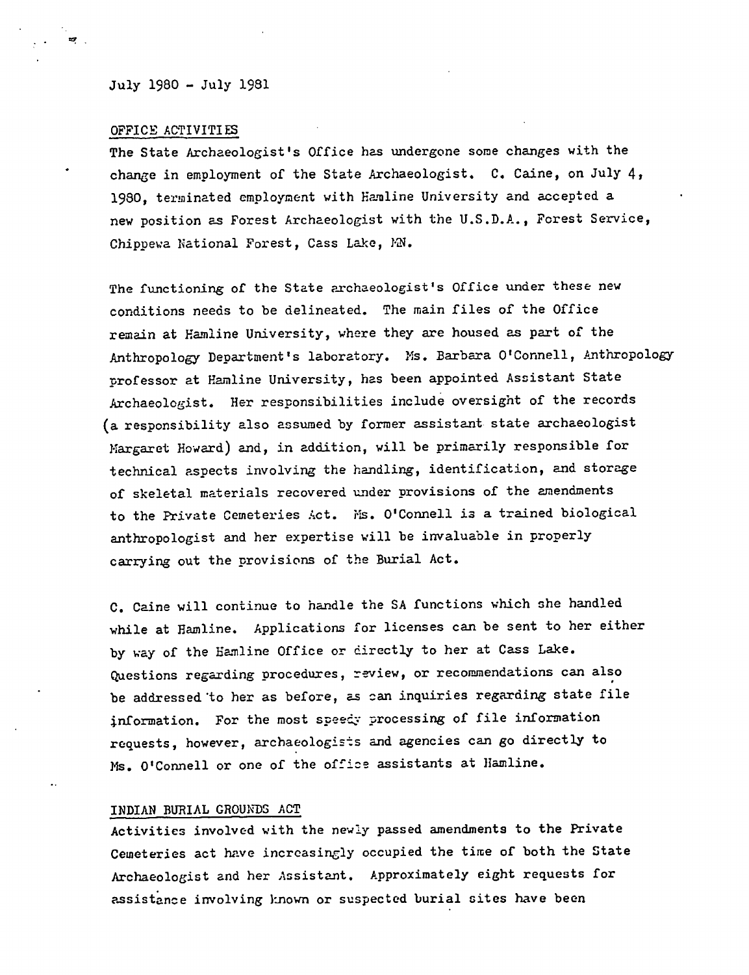#### July 1980 - July 1981

#### OFFICE ACTIVITIES

The State Archaeologist's Office has undergone some changes with the change in employment of the State Archaeologist. C. Caine, on July 4, 1980, terminated employment with Hamline University and accepted a new position as Forest Archaeologist with the U.S.D.A., Forest Service, Chippewa National Forest, Cass Lake, MN.

The functioning of the State archaeologist's Office under these new conditions needs to be delineated. The main files of the Office remain at Kamline University, where they are housed as part of the Anthropology Department's laboratory. Ms. Barbara O'Connell, Anthropology professor at Kamline University, has been appointed Assistant State Archaeologist. Her responsibilities include oversight of the records (a responsibility also assumed by former assistant state archaeologist Margaret Howard) and, in addition, will be primarily responsible for technical aspects involving the handling, identification, and storage of skeletal materials recovered under provisions of the amendments to the Private Cemeteries Act. Ms. O'Connell is a trained biological anthropologist and her expertise will be invaluable in properly carrying out the provisions of the Burial Act.

C. Caine will continue to handle the SA functions which she handled while at Hamline. Applications for licenses can be sent to her either by way of the Hamline Office or directly to her at Cass Lake. Questions regarding procedures, review, or recommendations can also be addressed "to her as before, as can inquiries regarding state file information. For the most speedy processing of file information requests, however, archaeologists and agencies can go directly to Ms. O'Connell or one of the office assistants at Hamline.

# INDIAN BURIAL GROUNDS ACT

Activities involved with the newly passed amendments to the Private Cemeteries act have increasingly occupied the tine of both the State Archaeologist and her Assistant. Approximately eight requests for assistance involving known or suspected burial sites have been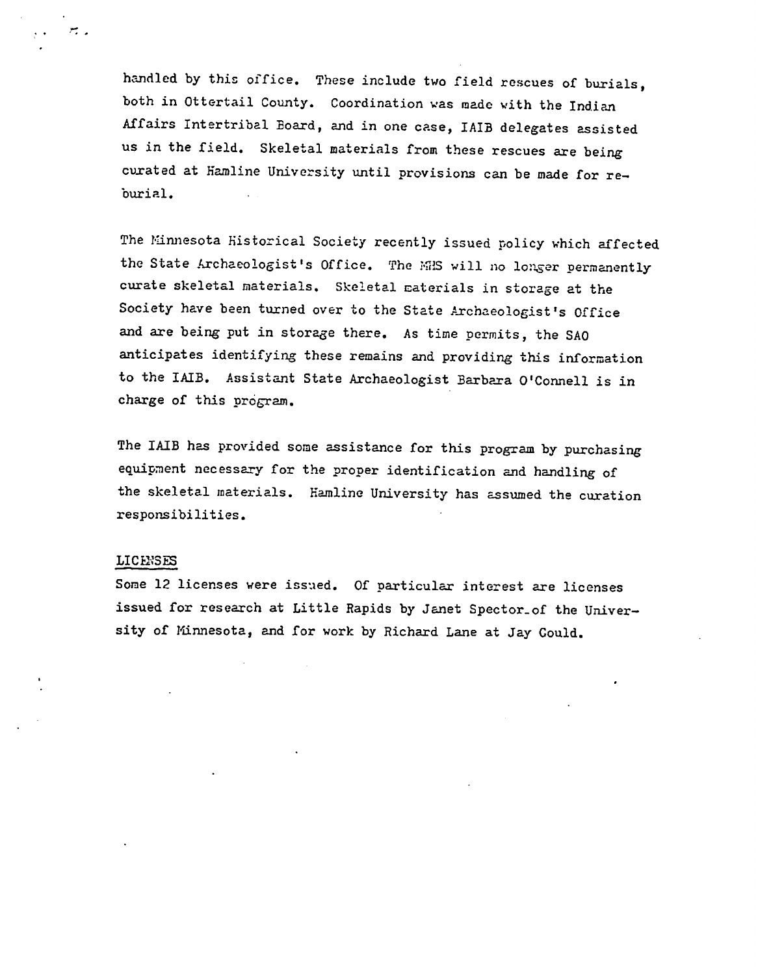handled by this office. These include two field rescues of burials, both in Ottertail County. Coordination was made with the Indian Affairs Intertribal Eoard, and in one case, IAIB delegates assisted us in the field. Skeletal materials from these rescues are being curated at Hamline University until provisions can be made for reburial.

The Minnesota Historical Society recently issued policy which affected the State Archaeologist's Office. The MHS will no longer permanently curate skeletal materials. Skeletal caterials in storage at the Society have been turned over to the State Archaeologist's Office and are being put in storage there. As time permits, the SAO anticipates identifying these remains and providing this information to the IAIB. Assistant State Archaeologist Barbara O'Connell is in charge of this program.

The IAIB has provided some assistance for this program by purchasing equipment necessary for the proper identification and handling of the skeletal materials. Eamline University has assumed the curation responsibilities.

#### LICENSES

 $\overline{r}$ .

Some 12 licenses were issued. Of particular interest are licenses issued for research at Little Rapids by Janet Spector.of the Univer sity of Minnesota, and for work by Richard Lane at Jay Gould.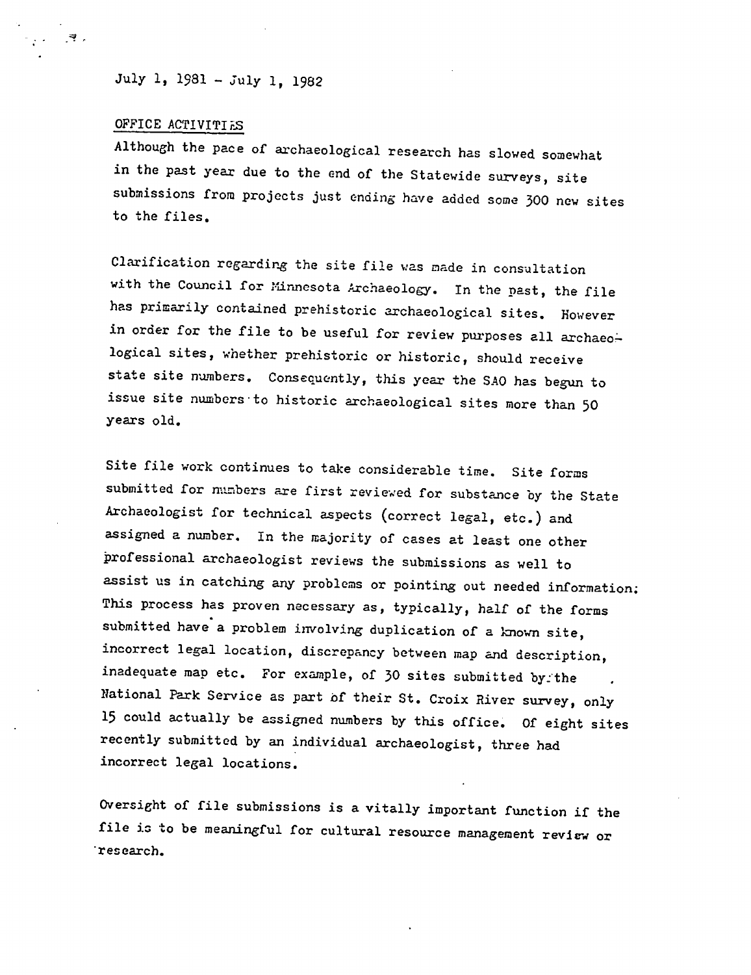July 1, 1981 - July 1, 1982

# OFFICE ACTIVITIES

 $\mathcal{F}$  .

Although the pace of archaeological research has slowed somewhat in the past year due to the end of the Statewide surveys, site submissions from projects just ending have added some 300 new sites to the files.

Clarification regarding the site file was made in consultation with the Council for Minnesota Archaeology. In the past, the file has primarily contained prehistoric archaeological sites. However in order for the file to be useful for review purposes all archaeological sites, whether prehistoric or historic, should receive state site numbers. Consequently, this year the SAO has begun to issue site numbers-to historic archaeological sites more than 50 years old.

Site file work continues to take considerable time. Site forms submitted for numbers are first reviewed for substance by the State Archaeologist for technical aspects (correct legal, etc.) and assigned a number. In the majority of cases at least one other professional archaeologist reviews the submissions as well to assist us in catching any problems or pointing out needed information; This process has proven necessary as, typically, half of the forms submitted have a problem involving duplication of a known site, incorrect legal location, discrepancy between map and description, inadequate map etc. For example, of 30 sites submitted by the National Park Service as part of their St. Croix River survey, only 15 could actually be assigned numbers by this office. Of eight sites recently submitted by an individual archaeologist, three had incorrect legal locations.

Oversight of file submissions is a vitally important function if the file is to be meaningful for cultural resource management review or research.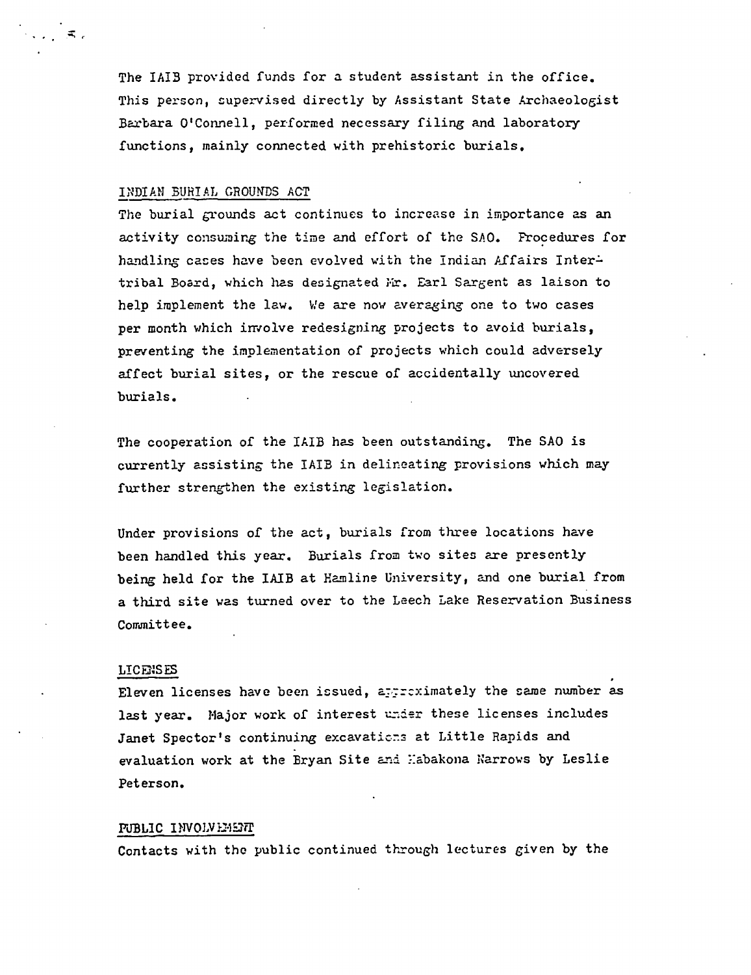The IAIB provided funds for a student assistant in the office. This person, supervised directly by Assistant State Archaeologist Barbara O'Connell, performed necessary filing and laboratory functions, mainly connected with prehistoric burials.

#### INDIAN BURIAL GROUNDS ACT

 $\leq$ .

The burial grounds act continues to increase in importance as an activity consuming the time and effort of the SAO. Procedures for handling cases have been evolved with the Indian Affairs Inter tribal Board, which has designated Mr. Earl Sargent as laison to help implement the law. We are now averaging one to two cases per month vhich involve redesigning projects to avoid burials, preventing the implementation of projects which could adversely affect burial sites, or the rescue of accidentally uncovered burials.

The cooperation of the IAIB has been outstanding. The SAO is currently assisting the IAIB in delineating provisions which may further strengthen the existing legislation.

Under provisions of the act, burials from three locations have been handled this year. Burials froa two sites are presently being held for the IAIB at Kamline University, and one burial from third site was turned over to the Leech Lake Reservation Business Committee.

#### LICENSES

Eleven licenses have been issued, approximately the same number as last year. Major work of interest under these licenses includes Janet Spector's continuing excavations at Little Rapids and evaluation work at the Bryan Site and Mabakona Narrows by Leslie Peterson.

#### PUBLIC INVOLVEMENT

Contacts with the public continued through lectures given by the